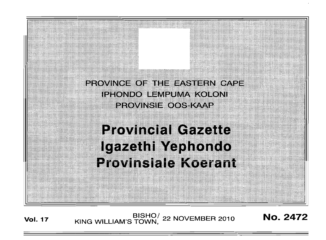PROVINCE OF THE EASTERN CAPE IPHONDO LEMPUMA KOLONI provingi=cost«vap

**Provincial Gazette** Igazethi Yephondo **Provinsiale Koerant** 

**Vol. 17** BISHO<sup>/</sup> 22 NOVEMBER 2010 **No. 2472**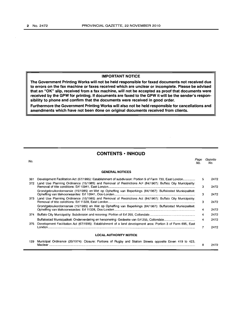#### **IMPORTANT NOTICE**

**The Government Printing Works will not be held responsible for faxed documents not received due to errors on the fax machine or faxes received which are unclear or incomplete. Please be advised that an "OK" slip, received from a fax machine, will not be accepted as proof that documents were received by the GPW for printing. If documents are faxed to the GPW it will be the sender's responsibility to phone and confirm that the documents were received in good order.**

**Furthermore the Government Printing Works will also not be held responsible for cancellations and amendments which have not been done on original documents received from clients.**

# **CONTENTS • INHOUD**

No. **GENERAL NOTICES** Page Gazette<br>No. No. No. No. 361 Development Facilitation Act (67/1995): Establishment of subdivision: Portion 9 of Farm 730, East London . 372 Land Use Planning Ordinance (15/1985) and Removal of Restrictions Art (84/1967): Buffalo City Municipality: Removal of title conditions: Erf 10941, East London . Grondgebruikordonnansie (15/1985) en Wet op Opheffing van Beperkings (84/1967): Buffalostad Munisipaliteit: Opheffing van titelvoorwaardes: Erf 10941, Oos-Londen . 373 Land Use Planning Ordinance (15/1985) and Removal of Restrictions Act (84/1967): Buffalo City Municipality: Removal of title conditions: Erf 11328, East London . Grondgebruikordonnansie (15/1985) en Wet op Opheffing van Beperkings (84/1967): Buffalostad Munisipaliteit: Opheffing van titelvoorwaardes: Erf 11328, Oos-Londen . 374 Buffalo City Municipality: Subdivision and rezoning: Portion of Erf 255, Collondale . Buffalostad Munisipaliteit: Onderverdeling en hersonering: Gedeelte van Erf 255, Collondale . 375 Development Facilitation Act (67/1995): Establishment of a land development area: Portion 3 of Farm 695, East London . **LOCAL AUTHORITY NOTICE** 129 Municipal Ordinance (20/1974): Closure: Portions of Rugby and Station Streets opposite Erven 419 to 423, 5 3 3 3 4 4 4 7 8 2472 2472 2472 2472 2472 2472 2472 2472 2472

Maclear .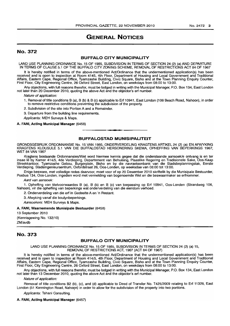# **GENERAL NOTICES**

# No. 372

# **BUFFALO CITY MUNICIPALITY**

LAND USE PLANNING ORDINANCE No. 15 OF 1985, SUBDIVISION IN TERMS OF SECTION 24 (2) (a) AND DEPARTURE IN TERMS OF CLAUSE 5.1 OF THE BUFFALO CITY ZONING SCHEME, REMOVAL OF RESTRICTIONS ACT 84 OF 1967

It is hereby notified in terms of the above-mentioned Act/Ordinance that the undermentioned application(s) has been received and is open to inspection at Room 4145, 4th Floor, Department of Housing and Local Government and Traditional Affairs, Eastern Cape, Regional Office, Tyamzashe BUilding, Civic Square, Bisho and at the Town Planning Enquiry Counter, First Floor, City Engineering Centre, 26 Oxford Street, East London, on weekdays from 08:00 to 13:00.

Any objections, with full reasons therefor, must be lodged in writing with the Municipal Manager, P.O. Box 134, East London not later than 20 December 2010, quoting the above Act and the objector's erf number.

Nature of application:

- 1. Removal of title conditions B (a), B (b) & B (c) applicable to Erf 10941, East London (106 Beach Road, Nahoon), in order to remove restrictive conditions preventing the subdivision of the property.
- 2. Subdivision of the site into Portion A and a Remainder.
- 3. Departure from the building line requirements.

Applicants: MEH Surveys & Maps.

#### A. FANI, Acting Municipal Manager (6458)

### **BUFFALOSTAD MUNISIPAUTEIT**

**-.**

GRONDSGEBRUIK ORDONNANSIE No. 15 VAN 1985, ONDERVERDELING KRAGTENS ARTIKEL 24 (2) (a) EN AFWYKING KRAGTENS KLOUSULE 5.1 VAN DIE BUFFALOSTAD HERSONERING SKEMA, OPHEFFING VAN BEPERKINGS 1967, WET 84 VAN 1967

Kragtens bostaande Ordonnansies/Wet word hiermee kennis gegee dat die onderstaande aansoek/e ontvang is en ter insae lê by Kamer 414/5, 4de Verdieping, Departement van Behuising, Plaaslike Regering en Tradisionele Sake, Oos-Kaap Streekkantoor, Tyamzashe Gebou, Burgerplein, Bisho en by die navraetoonbank van die Stadsbeplanningstak, Eerste Verdieping, Stadsingenieursentrum, Oxfordstraat 26, Oos-Londen, op weeksdae van 08:00 tot 13:00.

Enige besware, met volledige redes daarvoor, moet voor of op 20 Desember 2010 skriftelik by die Munisipale Bestuurder, Posbus 134, Oos-Londen, ingedien word met vermelding van bogenoemde Wet en die beswaarmaker se erfnommer.

Aard van aansaek:

1. Opheffing van titelvoorwaardes B (a), B (b) en B (c) van toepassing op Erf 10941, Oos-Londen (Strandweg 106, Nahoon), vir die opheffinq van beperkings wat onderverdeling van die eiendom verhoed.

2. Onderverdeling van die erf in Gedeelte A en 'n Restant.

3. Afwyking vanaf die boulynbeperkings.

.Aansoekers: MEH Surveys & Maps.

#### A. FANI, Waarnemende Munisipale Bestuurder (6458)

13 September 2010 (Kennisgewing No. 132/10) ZM/avdb

# No. 373

# **BUFFALO CITY MUNICIPALITY**

LAND USE PLANNING ORDINANCE No. 15 OF 1985, SUBDIVISION IN TERMS OF SECTION 24 (2) (a) 15, REMOVAL OF RESTRICTIONS ACT, 1967 (ACT 84 OF 1967)

It is hereby notified in terms of the above-mentioned Act/Ordinance that the undermentioned application(s) has been received and is open to inspection at Room 414/5, 4th Floor, Department of Housing and Local Government and Traditional Affairs, Eastern Cape, Regional Office, Tyamzashe Building, Civic Square, Bisho and at the Town Planning Enquiry Counter, First Floor, City Enqlneerinq Centre, 26 Oxford Street, East London, on weekdays from 08:00 to 13:00.

Any objections, with full reasons therefor, must be lodged in writing with the Municipal Manager, P.O. Box 134, East London not later than 13 December 2010, quoting the above Act and the objector's erf number.

Nature of application:

Removal of title conditions B2 (b), (c), and (d) applicable to Deed of Transfer No. T425/2009 relating to Erf 11328, East London (51 Kennington Road, Nahoon) in order to allow for the subdivision of the property into two portions.

Applicants: Tshani Consulting.

#### A. FANI, Acting Municipal Manager (6457)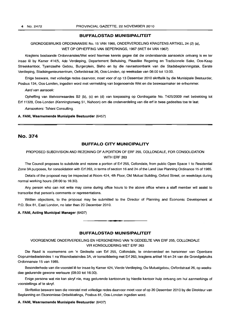#### **BUFFALOSTAD MUNISIPALITEIT**

# GRONDGEBRUIKS ORDONNANSIE No. 15 VAN 1985, ONDERVERDELING KRAGTENS ARTIKEL 24 (2) (a), WET OP OPHEFFING VAN BEPERKINGS, 1967 (WET 84 VAN 1967)

Kragtens bostaande Ordonnansies/Wet word hiermee kennis gegee dat die onderstaande aansoek/e ontvang is en ter insae Iê by Kamer 414/5, 4de Verdieping, Departement Behuising, Plaaslike Regering en Tradisionele Sake, Oos-Kaap Streekkantoor, Tyamzashe Gebou, Burgerplein, Bisho en by die navraetoonbank van die Stadsbeplanningstak, Eerste Verdieping, Stadsingenieursentrum, Oxfordstraat 26, Oos-Londen, op weeksdae van 08:00 tot 13:00.

Enige besware, met volledige redes daarvoor, moet voor of op 13 Desember 2010 skriftelik by die Munisipale Bestuurder, Posbus 134, Oos-Londen, ingedien word met vermelding van bogenoemde Wet en die beswaarmaker se erfnommer.

Aard van aansoek:

Opheffing van titelvoorwaardes B2 (b), (c) en (d) van toepassing op Oordragakte No. T425/2009 met betrekking tot Erf 11328, Oos-Londen (Kenningtonweg 51, Nahoon) om die onderverdeling van die erf in twee gedeeltes toe te laat.

Aansoekers: Tshani Consulting.

#### A. FANI, Waarnemende Munisipale Bestuurder (6457)

# No. 374

# **BUFFALO CITY MUNICIPALITY**

# PROPOSED SUBDIVISION AND REZONING OF A PORTION OF ERF 255, COLLONDALE, FOR CONSOLIDATION WITH ERF 263

The Council proposes to subdivide and rezone a portion of Erf 255, Collondale, from public Open Space 1 to Residential Zone 3A purposes, for consolidation with Erf 263, in terms of section 16 and 24 of the Land Use Planning Ordinance 15 of 1985.

Details of the proposal may be inspected at Room 424, 4th Floor, Old Mutual Building, Oxford Street, on weekdays during normal working hours (08:00 to 16:30).

Any person who can not write may come during office hours to the above office where a staff member will assist to transcribe that person's comments or representations.

Written objections, to the proposal may be submitted to the Director of Planning and Economic Development at P.O. Box 81, East London, no later than 20 December 2010.

A. FANI, Acting Municipal Manager (6437)

## **BUFFALOSTAD MUNISIPALITEIT**

.**-.**

VOORGENOME ONDERVERDELING EN HERSONERING VAN 'N GEDEELTE VAN ERF 255, COLLONDALE VIR KONSOLIDERING MET ERF 263

Die Raad is voornemens om 'n Gedeelte van Erf 255, Collondale, te onderverdeel en hersoneer van Openbare Oopruimtedoeleindes 1 na Woondoeleindes 3A, vir konsolidering met Erf 263, kragtens artikel 16 en 24 van die Grondgebruiks Ordonnansie 15 van 1985.

Besonderhede van die voorstel lê ter insae by Kamer 424, Vierde Verdieping, Ou Mutualgebou, Oxfordstraat 26, op weeksdae gedurende gewone werksure (08:00 tot 16:30).

Enige persone wat nie kan skryf nie, mag gedurende kantoorure by hierdie kantoor hulp ontvang om hul aanmerkings of voorstellings af te skryf.

Skriftelike besware teen die voorstel met volledige redes daarvoor moet voor of op 20 Desember 2010 by die Direkteur van Beplanning en Ekonomiese Ontwikkelings, Posbus 81, Oos-Landen ingedien word.

#### A. FANI, Waarnemende Munisipale Bestuurder (6437)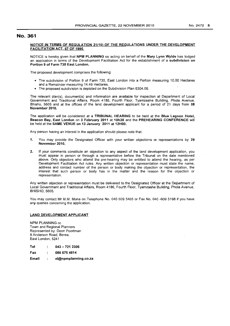# No. 361

#### NOTICE IN TERMS OF REGULATION 21(10) OF THE REGULATIONS UNDER THE DEVELOPMENT FACILITATION ACT, 67 OF 1995

NOTICE is hereby given that NPM PLANNING cc acting on behalf of the Mary Lynn Wylde has lodged an application in terms of the Development Facilitation Act for the establishment of a subdivision on Portion 9 of Farm 730 East London.

The proposed development comprises the following:

- The subdivision of Portion 9 of Farm 730, East London into a Portion measuring 10.00 Hectares and a Remainder measuring 14.49 Hectares.
- The proposed subdivision is depicted on the Subdivision Plan 6304.06.

The relevant plan(s), document(s) and information are available for inspection at Department of Local Government and Traditional Affairs, Room 4186, Fourth Floor, Tyamzashe Building, Phola Avenue, Bhisho, 5605 and at the offices of the land development applicant for a period of 21 days from 08 November 2010. .

The application will be considered at a TRIBUNAL HEARING to be held at the Blue Lagoon Hotel, Beacon Bay, East London on 3 February 2011 at 10h30 and the PREHEARING CONFERENCE will be held at the SAME VENUE on 13 January 2011 at 12HOO.

Any person having an interest in the application should please note that:

- 1. You may provide the Designated Officer with your written objections or representations by 29 November 2010.
- 2. If your comments constitute an objection to any aspect of the land development application, you must appear in person or through a representative before the Tribunal on the date mentioned .above. Only objectors who attend the pre-hearing may be entitled to attend the hearing, as per Development Facilitation Act rules. Any written objection or representation must state the name, address and contact number of the person or body making the objection or representation, the interest that such person or body has in the matter and the reason for the objection or representation.

Any written objection or representation must be delivered to the Designated Officer at the Department of Local Government and Traditional Affairs, Room 4186, Fourth Floor, Tyamzashe Building, Phola Avenue, BHISHO, 5605.

You may contact Mr M.M. Mona on Telephone No. 040 609 5465 or Fax No. 040 -609 5198 if you have any queries concerning the application.

#### LAND DEVELOPMENT APPLICANT

NPM PLANNING cc Town and Regional Planners Represented by: Deon Poortman 8 Anderson Road, Berea, East London, 5241

Tel  $\ddot{\cdot}$ 043 - 721 2306

0866754814 Fax  $\ddot{\phantom{a}}$ 

Email el@npmplanning.co.za $\mathbf{r}$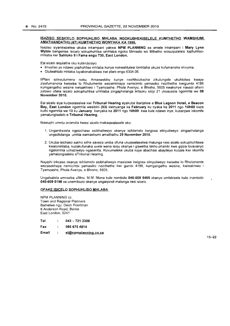#### ISAZISO SESICELO SOPHUHLlSO MHLABA NGOKUBHEKISELELE KUMTHETHO WAMSHUMI AMATHANDATHU (67) KUMTHETHO WONYAKA KA 1995.

Isaziso siyanikezelwa ukuba inkampani yakwa NPM PLANNING cc emele inkampani i Mary Lynn Wylde bangenise isicelo sokuphuhlisa umhlaba ngoko Mmiselo wo Mthetho woququzelelo lophuhlisomhlaba kwi Sahluko 9 i Fama engu 730, East London.

Esi sicelo siqulathe oku kulandelayo:

- Imveliso ye ndawo yophuhliso mhlaba kunye nokwahlu/wa lomhlaba ukuze kufumaneke imvume.
- Olulwahlulo mhlaba luyabonakaliswa kwi plani engu 6304.06. .

liPlani ezinxulumene noku, Amaxwebhu kunye neeNkcukacha zikulungele ukuhlolwa kwaye ziyafumaneka kwisebe 10 Rhulumente wezamkhaya nemicimbi yamasiko nezithethe kwigumbi 4186 kumgangatho wesine kwisakhiwo i Tyamzashe, Phola Avenyu, e Bhisho, 5605 kwakunye nasezi otisini zalowo ufake isicelo sokuphuhlisa umhlaba zingaphelanga iintsuku eziyi 21 ukususela ngomhla we 08 November 2010.

Esi sicelo siya kuqwalaselwa kwi Tribunal Hearing eyakube ibanjelwe e Blue Lagoon Hotel, e Beacon Bay, East London ngomhla wesibini (03) kwinyanga ka February ku nyaka ka 2011 ngo 10hOO kuze kuthi ngomhla we 13 ku January kunyaka ka 2011 ngo 10h00 kwa kule ndawo inye, kubanjwe inkomfa yamalungiselelo e Tribunal Hearing.

Nawuphi umntu onomdla kwesi sicelo makaqwalasele oku:

- 1. Unganikezela ngesichaso esibhaliweyo okanye isihlomelo kwigosa elinyuliweyo zingaphelanga ungadlulanga umhla wamashumi amathathu 29 November 2010.
- 2. Ukuba isichaso sakho sithe saveza umba ofuna ukuqwalaselwa malunga nesi sicelo sokuphuhliswa kwalomhlaba, kuzakufunaka uvele wena isiqu okanye i gqwetha lakho phambi kwe gqiza lovavanyo ngalomhla uchaziweyo ngasentla. Kuvumeleke ukuba kuye abachasi abayileyo kuqala kwi nkomfa yamalungiselelo eTribunal Hearing.

Nayiphi inkcaso okanye isihlomelo esibhaliweyo masisiwe kwigosa elinyuliweyo kwisebe 10 Rhulumente wezasekhaya nemicimbi yamasiko nezithethe kwi gumbi 4186, kumgangatho wesine, kwisakhiwo i Tyamzashe, Phola Avenyu, e Bhisho, 5605.

Ungatsalela umnxeba uMnu. M.M. Mona kule nombolo 040-609 5465 okanye umfekisele kule inombolo 040-609 5198 xa unemibuzo okanye ungaqondi malunga nesi sicelo.

#### OFAKE ISICELO SOPHUHLlSO MHLABA

NPM PLANNING cc Town and Regional Planners Bamelwe ngu: Deon Poortman 8 Anderson Road, Berea East London, 5241

| Tel<br>Fax |  | $043 - 7212306$<br>086 675 4814 |
|------------|--|---------------------------------|
|            |  |                                 |

15-22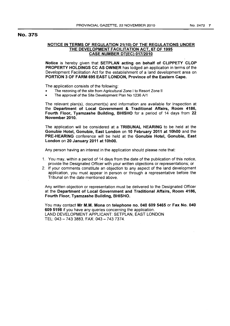# No. 375

# NOTICE IN TERMS OF REGULATION 21(10) OF THE REGULATIONS UNDER THE DEVELOPMENT FACILITATION ACT, 67 OF 1995 CASE NUMBER DT{EC) 017/2010

Notice is hereby given that SETPLAN acting on behalf of CLIPPETY CLOP PROPERTY HOLDINGS CC AS OWNER has lodged an application in terms of the Development Facilitation Act for the establishment of a land development area on PORTION 3 OF FARM 695 EAST LONDON, Province of the Eastern Cape.

The application consists of the following:

- The rezoning of the site from Agricultural Zone I to Resort Zone II
- The approval of the Site Development Plan No 1236 A/1

The relevant plan(s), document(s) and information are available for inspection at the Department of Local Government & Traditional Affairs, Room 4186, Fourth Floor, Tyamzashe Building, BHISHO for a period of 14 days from 22 November 2010.

The application will be considered at a TRIBUNAL HEARING to be held at the Gonubie Hotel, Gonubie, East London on 10 February 2011 at 10hOO and the PRE-HEARING conference will be held at the Gonubie Hotel, Gonubie, East London on 20 January 2011 at 10hOO.

Any person having an interest in the application should please note that:

- 1. You may, within a period of 14 days from the date of the publication of this notice, provide the Designated Officer with your written objections or representations; or
- 2. If your comments constitute an objection to any aspect of the land development application, you must appear in person or through a representative before the Tribunal on the date mentioned above.

Any written objection or representation must be delivered to the Designated Officer at the Department of Local Government and Traditional Affairs, Room 4186, Fourth Floor, Tyamzashe Building, BHISHO.

You may contact Mr M.M. Mona on telephone no. 040 609 5465 or Fax No. 040 609 5198 if you have any queries concerning the application. LAND DEVELOPMENT APPLICANT: SETPLAN, EAST LONDON TEL: 043 - 7433883, FAX: 043 - 7437374.